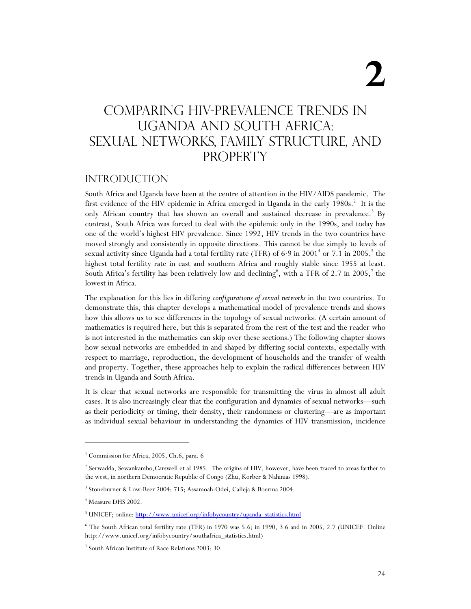# COMPARING HIV-prevalence trends in Uganda and South Africa: Sexual networks, family structure, and **PROPERTY**

## **INTRODUCTION**

South Africa and Uganda have been at the centre of attention in the HIV/AIDS pandemic.<sup>1</sup> The first evidence of the HIV epidemic in Africa emerged in Uganda in the early 1980s.<sup>2</sup> It is the only African country that has shown an overall and sustained decrease in prevalence.<sup>3</sup> By contrast, South Africa was forced to deal with the epidemic only in the 1990s, and today has one of the world's highest HIV prevalence. Since 1992, HIV trends in the two countries have moved strongly and consistently in opposite directions. This cannot be due simply to levels of sexual activity since Uganda had a total fertility rate (TFR) of 6<sup>.9</sup> in 2001<sup>+</sup> or 7.1 in 2005,<sup>5</sup> the highest total fertility rate in east and southern Africa and roughly stable since 1955 at least. South Africa's fertility has been relatively low and declining<sup>6</sup>, with a TFR of 2.7 in 2005,<sup>7</sup> the lowest in Africa.

The explanation for this lies in differing *configurations of sexual networks* in the two countries. To demonstrate this, this chapter develops a mathematical model of prevalence trends and shows how this allows us to see differences in the topology of sexual networks. (A certain amount of mathematics is required here, but this is separated from the rest of the test and the reader who is not interested in the mathematics can skip over these sections.) The following chapter shows how sexual networks are embedded in and shaped by differing social contexts, especially with respect to marriage, reproduction, the development of households and the transfer of wealth and property. Together, these approaches help to explain the radical differences between HIV trends in Uganda and South Africa.

It is clear that sexual networks are responsible for transmitting the virus in almost all adult cases. It is also increasingly clear that the configuration and dynamics of sexual networks—such as their periodicity or timing, their density, their randomness or clustering—are as important as individual sexual behaviour in understanding the dynamics of HIV transmission, incidence

j

<sup>&</sup>lt;sup>1</sup> Commission for Africa, 2005, Ch.6, para. 6

<sup>2</sup> Serwadda, Sewankambo,Carswell et al 1985. The origins of HIV, however, have been traced to areas farther to the west, in northern Democratic Republic of Congo (Zhu, Korber & Nahinias 1998).

<sup>3</sup> Stoneburner & Low-Beer 2004: 715; Assamoah-Odei, Calleja & Boerma 2004.

<sup>4</sup> Measure DHS 2002.

<sup>&</sup>lt;sup>5</sup> UNICEF; online: http://www.unicef.org/infobycountry/uganda\_statistics.html

<sup>6</sup> The South African total fertility rate (TFR) in 1970 was 5.6; in 1990, 3.6 and in 2005, 2.7 (UNICEF. Online http://www.unicef.org/infobycountry/southafrica\_statistics.html)

<sup>7</sup> South African Institute of Race Relations 2003: 30.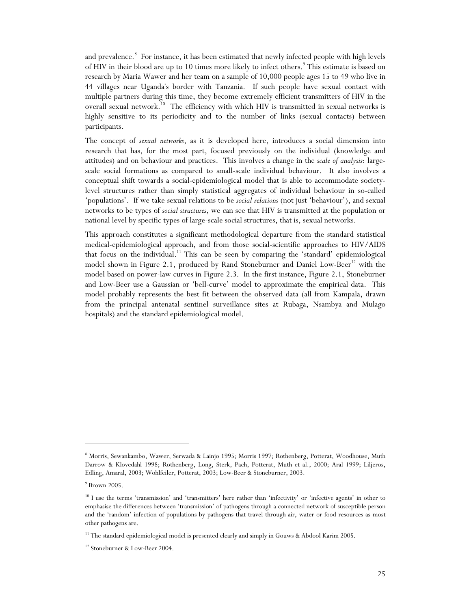and prevalence.<sup>8</sup> For instance, it has been estimated that newly infected people with high levels of HIV in their blood are up to 10 times more likely to infect others.<sup>9</sup> This estimate is based on research by Maria Wawer and her team on a sample of 10,000 people ages 15 to 49 who live in 44 villages near Uganda's border with Tanzania. If such people have sexual contact with multiple partners during this time, they become extremely efficient transmitters of HIV in the overall sexual network.<sup>10</sup> The efficiency with which HIV is transmitted in sexual networks is highly sensitive to its periodicity and to the number of links (sexual contacts) between participants.

The concept of *sexual networks*, as it is developed here, introduces a social dimension into research that has, for the most part, focused previously on the individual (knowledge and attitudes) and on behaviour and practices. This involves a change in the *scale of analysis*: largescale social formations as compared to small-scale individual behaviour. It also involves a conceptual shift towards a social-epidemiological model that is able to accommodate societylevel structures rather than simply statistical aggregates of individual behaviour in so-called 'populations'. If we take sexual relations to be *social relations* (not just 'behaviour'), and sexual networks to be types of *social structures*, we can see that HIV is transmitted at the population or national level by specific types of large-scale social structures, that is, sexual networks.

This approach constitutes a significant methodological departure from the standard statistical medical-epidemiological approach, and from those social-scientific approaches to HIV/AIDS that focus on the individual.<sup>11</sup> This can be seen by comparing the 'standard' epidemiological model shown in Figure 2.1, produced by Rand Stoneburner and Daniel Low-Beer<sup>12</sup> with the model based on power-law curves in Figure 2.3. In the first instance, Figure 2.1, Stoneburner and Low-Beer use a Gaussian or 'bell-curve' model to approximate the empirical data. This model probably represents the best fit between the observed data (all from Kampala, drawn from the principal antenatal sentinel surveillance sites at Rubaga, Nsambya and Mulago hospitals) and the standard epidemiological model.

<sup>8</sup> Morris, Sewankambo, Wawer, Serwada & Lainjo 1995; Morris 1997; Rothenberg, Potterat, Woodhouse, Muth Darrow & Klovedahl 1998; Rothenberg, Long, Sterk, Pach, Potterat, Muth et al., 2000; Aral 1999; Liljeros, Edling, Amaral, 2003; Wohlfeiler, Potterat, 2003; Low-Beer & Stoneburner, 2003.

 $9$  Brown 2005.

<sup>&</sup>lt;sup>10</sup> I use the terms 'transmission' and 'transmitters' here rather than 'infectivity' or 'infective agents' in other to emphasise the differences between 'transmission' of pathogens through a connected network of susceptible person and the 'random' infection of populations by pathogens that travel through air, water or food resources as most other pathogens are.

<sup>&</sup>lt;sup>11</sup> The standard epidemiological model is presented clearly and simply in Gouws & Abdool Karim 2005.

<sup>&</sup>lt;sup>12</sup> Stoneburner & Low-Beer 2004.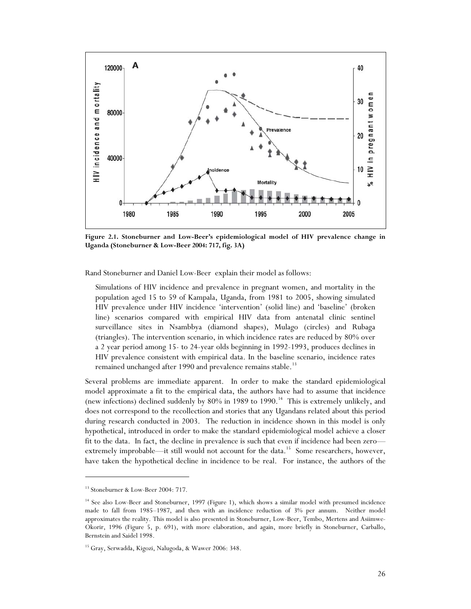

**Figure 2.1. Stoneburner and Low-Beer's epidemiological model of HIV prevalence change in Uganda (Stoneburner & Low-Beer 2004: 717, fig. 3A)** 

Rand Stoneburner and Daniel Low-Beer explain their model as follows:

Simulations of HIV incidence and prevalence in pregnant women, and mortality in the population aged 15 to 59 of Kampala, Uganda, from 1981 to 2005, showing simulated HIV prevalence under HIV incidence 'intervention' (solid line) and 'baseline' (broken line) scenarios compared with empirical HIV data from antenatal clinic sentinel surveillance sites in Nsambbya (diamond shapes), Mulago (circles) and Rubaga (triangles). The intervention scenario, in which incidence rates are reduced by 80% over a 2 year period among 15- to 24-year olds beginning in 1992-1993, produces declines in HIV prevalence consistent with empirical data. In the baseline scenario, incidence rates remained unchanged after 1990 and prevalence remains stable.<sup>13</sup>

Several problems are immediate apparent. In order to make the standard epidemiological model approximate a fit to the empirical data, the authors have had to assume that incidence (new infections) declined suddenly by  $80\%$  in 1989 to 1990.<sup>14</sup> This is extremely unlikely, and does not correspond to the recollection and stories that any Ugandans related about this period during research conducted in 2003. The reduction in incidence shown in this model is only hypothetical, introduced in order to make the standard epidemiological model achieve a closer fit to the data. In fact, the decline in prevalence is such that even if incidence had been zero extremely improbable—it still would not account for the data.<sup>15</sup> Some researchers, however, have taken the hypothetical decline in incidence to be real. For instance, the authors of the

<sup>&</sup>lt;sup>13</sup> Stoneburner & Low-Beer 2004: 717.

<sup>&</sup>lt;sup>14</sup> See also Low-Beer and Stoneburner, 1997 (Figure 1), which shows a similar model with presumed incidence made to fall from 1985–1987, and then with an incidence reduction of 3% per annum. Neither model approximates the reality. This model is also presented in Stoneburner, Low-Beer, Tembo, Mertens and Asiimwe-Okorir, 1996 (Figure 5, p. 691), with more elaboration, and again, more briefly in Stoneburner, Carballo, Bernstein and Saidel 1998.

<sup>&</sup>lt;sup>15</sup> Gray, Serwadda, Kigozi, Nalugoda, & Wawer 2006: 348.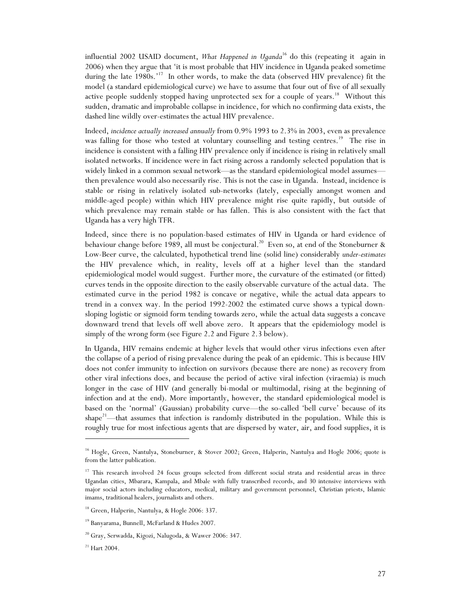influential 2002 USAID document, *What Happened in Uganda*<sup>16</sup> do this (repeating it again in 2006) when they argue that 'it is most probable that HIV incidence in Uganda peaked sometime during the late 1980s.'<sup>17</sup> In other words, to make the data (observed HIV prevalence) fit the model (a standard epidemiological curve) we have to assume that four out of five of all sexually active people suddenly stopped having unprotected sex for a couple of years.<sup>18</sup> Without this sudden, dramatic and improbable collapse in incidence, for which no confirming data exists, the dashed line wildly over-estimates the actual HIV prevalence.

Indeed, *incidence actually increased annually* from 0.9% 1993 to 2.3% in 2003, even as prevalence was falling for those who tested at voluntary counselling and testing centres.<sup>19</sup> The rise in incidence is consistent with a falling HIV prevalence only if incidence is rising in relatively small isolated networks. If incidence were in fact rising across a randomly selected population that is widely linked in a common sexual network—as the standard epidemiological model assumes then prevalence would also necessarily rise. This is not the case in Uganda. Instead, incidence is stable or rising in relatively isolated sub-networks (lately, especially amongst women and middle-aged people) within which HIV prevalence might rise quite rapidly, but outside of which prevalence may remain stable or has fallen. This is also consistent with the fact that Uganda has a very high TFR.

Indeed, since there is no population-based estimates of HIV in Uganda or hard evidence of behaviour change before 1989, all must be conjectural.<sup>20</sup> Even so, at end of the Stoneburner & Low-Beer curve, the calculated, hypothetical trend line (solid line) considerably *under-estimates* the HIV prevalence which, in reality, levels off at a higher level than the standard epidemiological model would suggest. Further more, the curvature of the estimated (or fitted) curves tends in the opposite direction to the easily observable curvature of the actual data. The estimated curve in the period 1982 is concave or negative, while the actual data appears to trend in a convex way. In the period 1992-2002 the estimated curve shows a typical downsloping logistic or sigmoid form tending towards zero, while the actual data suggests a concave downward trend that levels off well above zero. It appears that the epidemiology model is simply of the wrong form (see Figure 2.2 and Figure 2.3 below).

In Uganda, HIV remains endemic at higher levels that would other virus infections even after the collapse of a period of rising prevalence during the peak of an epidemic. This is because HIV does not confer immunity to infection on survivors (because there are none) as recovery from other viral infections does, and because the period of active viral infection (viraemia) is much longer in the case of HIV (and generally bi-modal or multimodal, rising at the beginning of infection and at the end). More importantly, however, the standard epidemiological model is based on the 'normal' (Gaussian) probability curve—the so-called 'bell curve' because of its shape<sup>21</sup>—that assumes that infection is randomly distributed in the population. While this is roughly true for most infectious agents that are dispersed by water, air, and food supplies, it is

<sup>&</sup>lt;sup>16</sup> Hogle, Green, Nantulya, Stoneburner, & Stover 2002; Green, Halperin, Nantulya and Hogle 2006; quote is from the latter publication.

<sup>&</sup>lt;sup>17</sup> This research involved 24 focus groups selected from different social strata and residential areas in three Ugandan cities, Mbarara, Kampala, and Mbale with fully transcribed records, and 30 intensive interviews with major social actors including educators, medical, military and government personnel, Christian priests, Islamic imams, traditional healers, journalists and others.

<sup>&</sup>lt;sup>18</sup> Green, Halperin, Nantulya, & Hogle 2006: 337.

<sup>19</sup> Banyarama, Bunnell, McFarland & Hudes 2007.

<sup>&</sup>lt;sup>20</sup> Gray, Serwadda, Kigozi, Nalugoda, & Wawer 2006: 347.

 $21$  Hart 2004.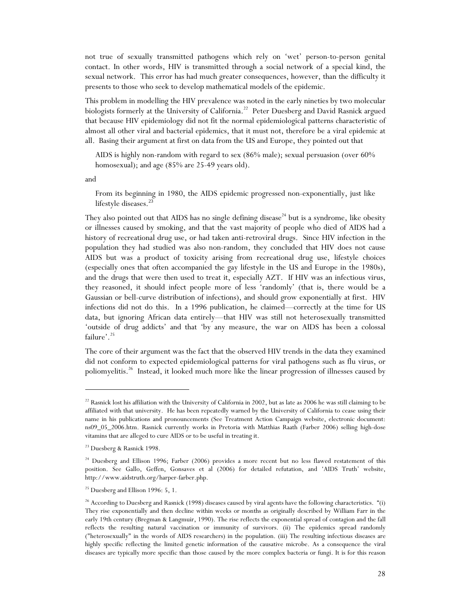not true of sexually transmitted pathogens which rely on 'wet' person-to-person genital contact. In other words, HIV is transmitted through a social network of a special kind, the sexual network. This error has had much greater consequences, however, than the difficulty it presents to those who seek to develop mathematical models of the epidemic.

This problem in modelling the HIV prevalence was noted in the early nineties by two molecular biologists formerly at the University of California.<sup>22</sup> Peter Duesberg and David Rasnick argued that because HIV epidemiology did not fit the normal epidemiological patterns characteristic of almost all other viral and bacterial epidemics, that it must not, therefore be a viral epidemic at all. Basing their argument at first on data from the US and Europe, they pointed out that

AIDS is highly non-random with regard to sex (86% male); sexual persuasion (over 60% homosexual); and age (85% are 25-49 years old).

and

 $\overline{a}$ 

From its beginning in 1980, the AIDS epidemic progressed non-exponentially, just like lifestyle diseases.<sup>23</sup>

They also pointed out that AIDS has no single defining disease<sup>24</sup> but is a syndrome, like obesity or illnesses caused by smoking, and that the vast majority of people who died of AIDS had a history of recreational drug use, or had taken anti-retroviral drugs. Since HIV infection in the population they had studied was also non-random, they concluded that HIV does not cause AIDS but was a product of toxicity arising from recreational drug use, lifestyle choices (especially ones that often accompanied the gay lifestyle in the US and Europe in the 1980s), and the drugs that were then used to treat it, especially AZT. If HIV was an infectious virus, they reasoned, it should infect people more of less 'randomly' (that is, there would be a Gaussian or bell-curve distribution of infections), and should grow exponentially at first. HIV infections did not do this. In a 1996 publication, he claimed—correctly at the time for US data, but ignoring African data entirely—that HIV was still not heterosexually transmitted 'outside of drug addicts' and that 'by any measure, the war on AIDS has been a colossal failure'. $25$ 

The core of their argument was the fact that the observed HIV trends in the data they examined did not conform to expected epidemiological patterns for viral pathogens such as flu virus, or poliomyelitis.26 Instead, it looked much more like the linear progression of illnesses caused by

 $22$  Rasnick lost his affiliation with the University of California in 2002, but as late as 2006 he was still claiming to be affiliated with that university. He has been repeatedly warned by the University of California to cease using their name in his publications and pronouncements (See Treatment Action Campaign website, electronic document: ns09\_05\_2006.htm. Rasnick currently works in Pretoria with Matthias Raath (Farber 2006) selling high-dose vitamins that are alleged to cure AIDS or to be useful in treating it.

<sup>&</sup>lt;sup>23</sup> Duesberg & Rasnick 1998.

<sup>&</sup>lt;sup>24</sup> Duesberg and Ellison 1996; Farber (2006) provides a more recent but no less flawed restatement of this position. See Gallo, Geffen, Gonsaves et al (2006) for detailed refutation, and 'AIDS Truth' website, http://www.aidstruth.org/harper-farber.php.

<sup>&</sup>lt;sup>25</sup> Duesberg and Ellison 1996: 5, 1.

<sup>&</sup>lt;sup>26</sup> According to Duesberg and Rasnick (1998) diseases caused by viral agents have the following characteristics. "(i) They rise exponentially and then decline within weeks or months as originally described by William Farr in the early 19th century (Bregman & Langmuir, 1990). The rise reflects the exponential spread of contagion and the fall reflects the resulting natural vaccination or immunity of survivors. (ii) The epidemics spread randomly ("heterosexually" in the words of AIDS researchers) in the population. (iii) The resulting infectious diseases are highly specific reflecting the limited genetic information of the causative microbe. As a consequence the viral diseases are typically more specific than those caused by the more complex bacteria or fungi. It is for this reason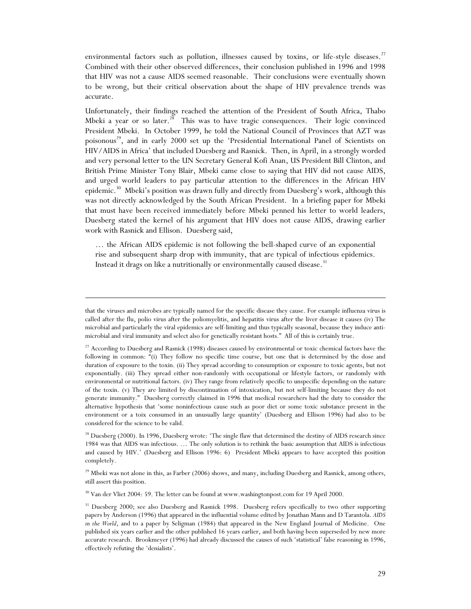environmental factors such as pollution, illnesses caused by toxins, or life-style diseases.<sup>27</sup> Combined with their other observed differences, their conclusion published in 1996 and 1998 that HIV was not a cause AIDS seemed reasonable. Their conclusions were eventually shown to be wrong, but their critical observation about the shape of HIV prevalence trends was accurate.

Unfortunately, their findings reached the attention of the President of South Africa, Thabo Mbeki a year or so later.<sup>28</sup> This was to have tragic consequences. Their logic convinced President Mbeki. In October 1999, he told the National Council of Provinces that AZT was poisonous<sup>29</sup>, and in early 2000 set up the 'Presidential International Panel of Scientists on HIV/AIDS in Africa' that included Duesberg and Rasnick. Then, in April, in a strongly worded and very personal letter to the UN Secretary General Kofi Anan, US President Bill Clinton, and British Prime Minister Tony Blair, Mbeki came close to saying that HIV did not cause AIDS, and urged world leaders to pay particular attention to the differences in the African HIV epidemic.<sup>30</sup> Mbeki's position was drawn fully and directly from Duesberg's work, although this was not directly acknowledged by the South African President. In a briefing paper for Mbeki that must have been received immediately before Mbeki penned his letter to world leaders, Duesberg stated the kernel of his argument that HIV does not cause AIDS, drawing earlier work with Rasnick and Ellison. Duesberg said,

… the African AIDS epidemic is not following the bell-shaped curve of an exponential rise and subsequent sharp drop with immunity, that are typical of infectious epidemics. Instead it drags on like a nutritionally or environmentally caused disease.<sup>31</sup>

 $\overline{a}$ 

<sup>30</sup> Van der Vliet 2004: 59. The letter can be found at www.washingtonpost.com for 19 April 2000.

that the viruses and microbes are typically named for the specific disease they cause. For example influenza virus is called after the flu, polio virus after the poliomyelitis, and hepatitis virus after the liver disease it causes (iv) The microbial and particularly the viral epidemics are self-limiting and thus typically seasonal, because they induce antimicrobial and viral immunity and select also for genetically resistant hosts." All of this is certainly true.

<sup>&</sup>lt;sup>27</sup> According to Duesberg and Rasnick (1998) diseases caused by environmental or toxic chemical factors have the following in common: "(i) They follow no specific time course, but one that is determined by the dose and duration of exposure to the toxin. (ii) They spread according to consumption or exposure to toxic agents, but not exponentially. (iii) They spread either non-randomly with occupational or lifestyle factors, or randomly with environmental or nutritional factors. (iv) They range from relatively specific to unspecific depending on the nature of the toxin. (v) They are limited by discontinuation of intoxication, but not self-limiting because they do not generate immunity." Duesberg correctly claimed in 1996 that medical researchers had the duty to consider the alternative hypothesis that 'some noninfectious cause such as poor diet or some toxic substance present in the environment or a toix consumed in an unusually large quantity' (Duesberg and Ellison 1996) had also to be considered for the science to be valid.

<sup>&</sup>lt;sup>28</sup> Duesberg (2000). In 1996, Duesberg wrote: 'The single flaw that determined the destiny of AIDS research since 1984 was that AIDS was infectious. … The only solution is to rethink the basic assumption that AIDS is infectious and caused by HIV.' (Duesberg and Ellison 1996: 6) President Mbeki appears to have accepted this position completely.

<sup>&</sup>lt;sup>29</sup> Mbeki was not alone in this, as Farber (2006) shows, and many, including Duesberg and Rasnick, among others, still assert this position.

<sup>&</sup>lt;sup>31</sup> Duesberg 2000; see also Duesberg and Rasnick 1998. Duesberg refers specifically to two other supporting papers by Anderson (1996) that appeared in the influential volume edited by Jonathan Mann and D Tarantola. *AIDS in the World*, and to a paper by Seligman (1984) that appeared in the New England Journal of Medicine. One published six years earlier and the other published 16 years earlier, and both having been superseded by new more accurate research. Brookmeyer (1996) had already discussed the causes of such 'statistical' false reasoning in 1996, effectively refuting the 'denialists'.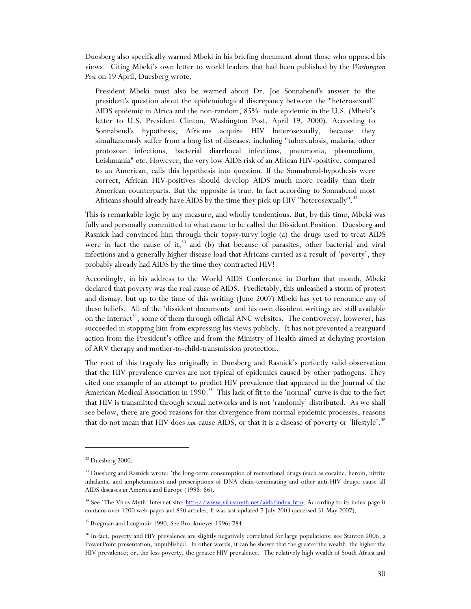Duesberg also specifically warned Mbeki in his briefing document about those who opposed his views. Citing Mbeki's own letter to world leaders that had been published by the *Washington Post* on 19 April, Duesberg wrote,

President Mbeki must also be warned about Dr. Joe Sonnabend's answer to the president's question about the epidemiological discrepancy between the "heterosexual" AIDS epidemic in Africa and the non-random, 85%- male epidemic in the U.S. (Mbeki's letter to U.S. President Clinton, Washington Post, April 19, 2000). According to Sonnabend's hypothesis, Africans acquire HIV heterosexually, because they simultaneously suffer from a long list of diseases, including "tuberculosis, malaria, other protozoan infections, bacterial diarrhoeal infections, pneumonia, plasmodium, Leishmania" etc. However, the very low AIDS risk of an African HIV-positive, compared to an American, calls this hypothesis into question. If the Sonnabend-hypothesis were correct, African HIV-positives should develop AIDS much more readily than their American counterparts. But the opposite is true. In fact according to Sonnabend most Africans should already have AIDS by the time they pick up HIV "heterosexually".<sup>32</sup>

This is remarkable logic by any measure, and wholly tendentious. But, by this time, Mbeki was fully and personally committed to what came to be called the Dissident Position. Duesberg and Rasnick had convinced him through their topsy-turvy logic (a) the drugs used to treat AIDS were in fact the cause of it, $33$  and (b) that because of parasites, other bacterial and viral infections and a generally higher disease load that Africans carried as a result of 'poverty', they probably already had AIDS by the time they contracted HIV!

Accordingly, in his address to the World AIDS Conference in Durban that month, Mbeki declared that poverty was the real cause of AIDS. Predictably, this unleashed a storm of protest and dismay, but up to the time of this writing (June 2007) Mbeki has yet to renounce any of these beliefs. All of the 'dissident documents' and his own dissident writings are still available on the Internet<sup>34</sup>, some of them through official ANC websites. The controversy, however, has succeeded in stopping him from expressing his views publicly. It has not prevented a rearguard action from the President's office and from the Ministry of Health aimed at delaying provision of ARV therapy and mother-to-child-transmission protection.

The root of this tragedy lies originally in Duesberg and Rasnick's perfectly valid observation that the HIV prevalence curves are not typical of epidemics caused by other pathogens. They cited one example of an attempt to predict HIV prevalence that appeared in the Journal of the American Medical Association in  $1990$ <sup>35</sup> This lack of fit to the 'normal' curve is due to the fact that HIV is transmitted through sexual networks and is not 'randomly' distributed. As we shall see below, there are good reasons for this divergence from normal epidemic processes, reasons that do not mean that HIV does *not* cause AIDS, or that it is a disease of poverty or 'lifestyle'.<sup>36</sup>

<sup>&</sup>lt;sup>32</sup> Duesberg 2000.

<sup>&</sup>lt;sup>33</sup> Duesberg and Rasnick wrote: 'the long-term consumption of recreational drugs (such as cocaine, heroin, nitrite inhalants, and amphetamines) and prescriptions of DNA chain-terminating and other anti-HIV drugs, cause all AIDS diseases in America and Europe (1998: 86).

<sup>&</sup>lt;sup>34</sup> See 'The Virus Myth' Internet site: http://www.virusmyth.net/aids/index.htm. According to its index page it contains over 1200 web-pages and 850 articles. It was last updated 7 July 2003 (accessed 31 May 2007).

<sup>&</sup>lt;sup>35</sup> Bregman and Langmuir 1990. See Brookmeyer 1996: 784.

<sup>&</sup>lt;sup>36</sup> In fact, poverty and HIV prevalence are slightly negatively correlated for large populations; see Stanton 2006; a PowerPoint presentation, unpublished. In other words, it can be shown that the greater the wealth, the higher the HIV prevalence; or, the less poverty, the greater HIV prevalence. The relatively high wealth of South Africa and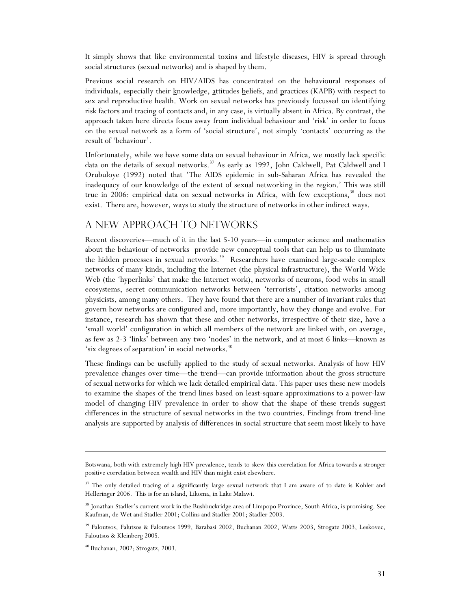It simply shows that like environmental toxins and lifestyle diseases, HIV is spread through social structures (sexual networks) and is shaped by them.

Previous social research on HIV/AIDS has concentrated on the behavioural responses of individuals, especially their knowledge, attitudes beliefs, and practices (KAPB) with respect to sex and reproductive health. Work on sexual networks has previously focussed on identifying risk factors and tracing of contacts and, in any case, is virtually absent in Africa. By contrast, the approach taken here directs focus away from individual behaviour and 'risk' in order to focus on the sexual network as a form of 'social structure', not simply 'contacts' occurring as the result of 'behaviour'.

Unfortunately, while we have some data on sexual behaviour in Africa, we mostly lack specific data on the details of sexual networks.<sup>37</sup> As early as 1992, John Caldwell, Pat Caldwell and I Orubuloye (1992) noted that 'The AIDS epidemic in sub-Saharan Africa has revealed the inadequacy of our knowledge of the extent of sexual networking in the region.' This was still true in 2006: empirical data on sexual networks in Africa, with few exceptions,<sup>38</sup> does not exist. There are, however, ways to study the structure of networks in other indirect ways.

# A new approach to networks

Recent discoveries—much of it in the last 5-10 years—in computer science and mathematics about the behaviour of networks provide new conceptual tools that can help us to illuminate the hidden processes in sexual networks.<sup>39</sup> Researchers have examined large-scale complex networks of many kinds, including the Internet (the physical infrastructure), the World Wide Web (the 'hyperlinks' that make the Internet work), networks of neurons, food webs in small ecosystems, secret communication networks between 'terrorists', citation networks among physicists, among many others. They have found that there are a number of invariant rules that govern how networks are configured and, more importantly, how they change and evolve. For instance, research has shown that these and other networks, irrespective of their size, have a 'small world' configuration in which all members of the network are linked with, on average, as few as 2-3 'links' between any two 'nodes' in the network, and at most 6 links—known as 'six degrees of separation' in social networks.<sup>40</sup>

These findings can be usefully applied to the study of sexual networks. Analysis of how HIV prevalence changes over time—the trend—can provide information about the gross structure of sexual networks for which we lack detailed empirical data. This paper uses these new models to examine the shapes of the trend lines based on least-square approximations to a power-law model of changing HIV prevalence in order to show that the shape of these trends suggest differences in the structure of sexual networks in the two countries. Findings from trend-line analysis are supported by analysis of differences in social structure that seem most likely to have

Botswana, both with extremely high HIV prevalence, tends to skew this correlation for Africa towards a stronger positive correlation between wealth and HIV than might exist elsewhere.

<sup>&</sup>lt;sup>37</sup> The only detailed tracing of a significantly large sexual network that I am aware of to date is Kohler and Helleringer 2006. This is for an island, Likoma, in Lake Malawi.

<sup>&</sup>lt;sup>38</sup> Jonathan Stadler's current work in the Bushbuckridge area of Limpopo Province, South Africa, is promising. See Kaufman, de Wet and Stadler 2001; Collins and Stadler 2001; Stadler 2003.

<sup>&</sup>lt;sup>39</sup> Faloutsos, Falutsos & Faloutsos 1999, Barabasi 2002, Buchanan 2002, Watts 2003, Strogatz 2003, Leskovec, Faloutsos & Kleinberg 2005.

<sup>40</sup> Buchanan, 2002; Strogatz, 2003.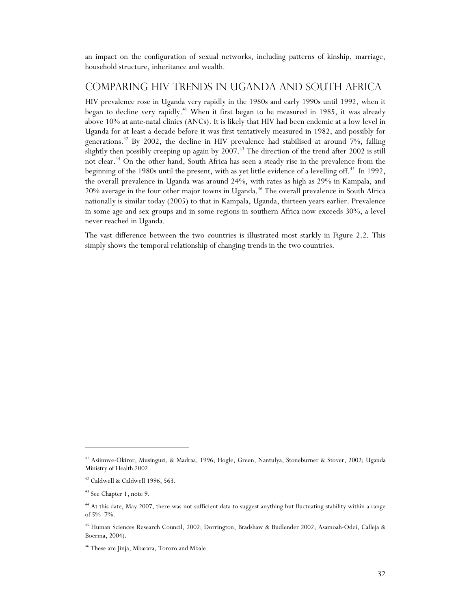an impact on the configuration of sexual networks, including patterns of kinship, marriage, household structure, inheritance and wealth.

## Comparing HIV trends in Uganda and South Africa

HIV prevalence rose in Uganda very rapidly in the 1980s and early 1990s until 1992, when it began to decline very rapidly.<sup>41</sup> When it first began to be measured in 1985, it was already above 10% at ante-natal clinics (ANCs). It is likely that HIV had been endemic at a low level in Uganda for at least a decade before it was first tentatively measured in 1982, and possibly for generations.<sup>42</sup> By 2002, the decline in HIV prevalence had stabilised at around  $7\%$ , falling slightly then possibly creeping up again by 2007.<sup>43</sup> The direction of the trend after 2002 is still not clear.<sup>44</sup> On the other hand, South Africa has seen a steady rise in the prevalence from the beginning of the 1980s until the present, with as yet little evidence of a levelling off.<sup>45</sup> In 1992, the overall prevalence in Uganda was around 24%, with rates as high as 29% in Kampala, and 20% average in the four other major towns in Uganda.<sup>46</sup> The overall prevalence in South Africa nationally is similar today (2005) to that in Kampala, Uganda, thirteen years earlier. Prevalence in some age and sex groups and in some regions in southern Africa now exceeds 30%, a level never reached in Uganda.

The vast difference between the two countries is illustrated most starkly in Figure 2.2. This simply shows the temporal relationship of changing trends in the two countries.

j

<sup>41</sup> Asiimwe-Okiror, Musinguzi, & Madraa, 1996; Hogle, Green, Nantulya, Stoneburner & Stover, 2002; Uganda Ministry of Health 2002.

<sup>42</sup> Caldwell & Caldwell 1996, 563.

<sup>&</sup>lt;sup>43</sup> See Chapter 1, note 9.

<sup>&</sup>lt;sup>44</sup> At this date, May 2007, there was not sufficient data to suggest anything but fluctuating stability within a range of 5%–7%.

<sup>45</sup> Human Sciences Research Council, 2002; Dorrington, Bradshaw & Budlender 2002; Asamoah-Odei, Calleja & Boerma, 2004).

<sup>46</sup> These are Jinja, Mbarara, Tororo and Mbale.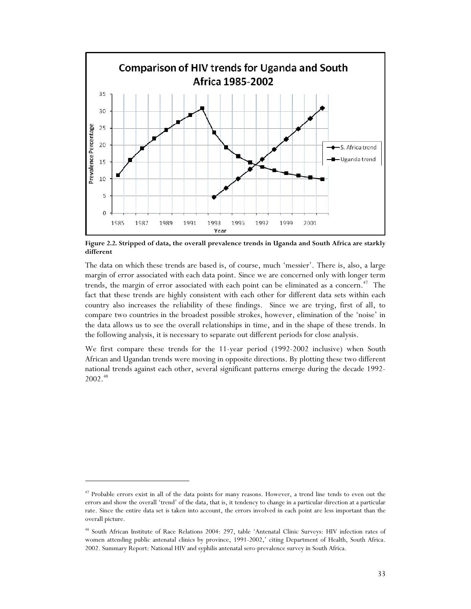

**Figure 2.2. Stripped of data, the overall prevalence trends in Uganda and South Africa are starkly different** 

The data on which these trends are based is, of course, much 'messier'. There is, also, a large margin of error associated with each data point. Since we are concerned only with longer term trends, the margin of error associated with each point can be eliminated as a concern.<sup> $47$ </sup> The fact that these trends are highly consistent with each other for different data sets within each country also increases the reliability of these findings. Since we are trying, first of all, to compare two countries in the broadest possible strokes, however, elimination of the 'noise' in the data allows us to see the overall relationships in time, and in the shape of these trends. In the following analysis, it is necessary to separate out different periods for close analysis.

We first compare these trends for the 11-year period (1992-2002 inclusive) when South African and Ugandan trends were moving in opposite directions. By plotting these two different national trends against each other, several significant patterns emerge during the decade 1992-  $2002.<sup>48</sup>$ 

<sup>&</sup>lt;sup>47</sup> Probable errors exist in all of the data points for many reasons. However, a trend line tends to even out the errors and show the overall 'trend' of the data, that is, it tendency to change in a particular direction at a particular rate. Since the entire data set is taken into account, the errors involved in each point are less important than the overall picture.

<sup>48</sup> South African Institute of Race Relations 2004: 297, table 'Antenatal Clinic Surveys: HIV infection rates of women attending public antenatal clinics by province, 1991-2002,' citing Department of Health, South Africa. 2002. Summary Report: National HIV and syphilis antenatal sero-prevalence survey in South Africa.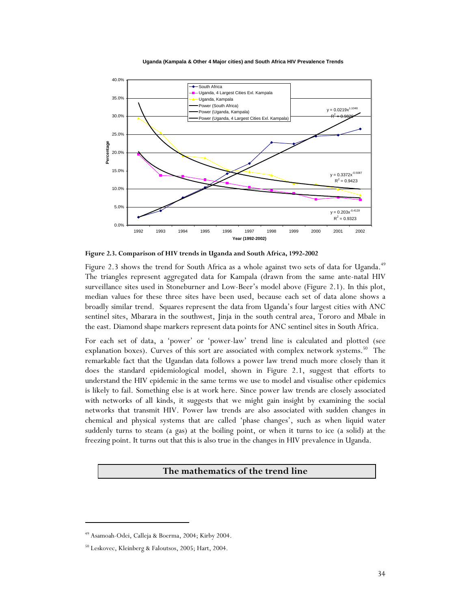**Uganda (Kampala & Other 4 Major cities) and South Africa HIV Prevalence Trends**



**Figure 2.3. Comparison of HIV trends in Uganda and South Africa, 1992-2002** 

Figure 2.3 shows the trend for South Africa as a whole against two sets of data for Uganda.<sup>49</sup> The triangles represent aggregated data for Kampala (drawn from the same ante-natal HIV surveillance sites used in Stoneburner and Low-Beer's model above (Figure 2.1). In this plot, median values for these three sites have been used, because each set of data alone shows a broadly similar trend. Squares represent the data from Uganda's four largest cities with ANC sentinel sites, Mbarara in the southwest, Jinja in the south central area, Tororo and Mbale in the east. Diamond shape markers represent data points for ANC sentinel sites in South Africa.

For each set of data, a 'power' or 'power-law' trend line is calculated and plotted (see explanation boxes). Curves of this sort are associated with complex network systems.<sup>50</sup> The remarkable fact that the Ugandan data follows a power law trend much more closely than it does the standard epidemiological model, shown in Figure 2.1, suggest that efforts to understand the HIV epidemic in the same terms we use to model and visualise other epidemics is likely to fail. Something else is at work here. Since power law trends are closely associated with networks of all kinds, it suggests that we might gain insight by examining the social networks that transmit HIV. Power law trends are also associated with sudden changes in chemical and physical systems that are called 'phase changes', such as when liquid water suddenly turns to steam (a gas) at the boiling point, or when it turns to ice (a solid) at the freezing point. It turns out that this is also true in the changes in HIV prevalence in Uganda.

#### **The mathematics of the trend line**

<sup>49</sup> Asamoah-Odei, Calleja & Boerma, 2004; Kirby 2004.

<sup>50</sup> Leskovec, Kleinberg & Faloutsos, 2005; Hart, 2004.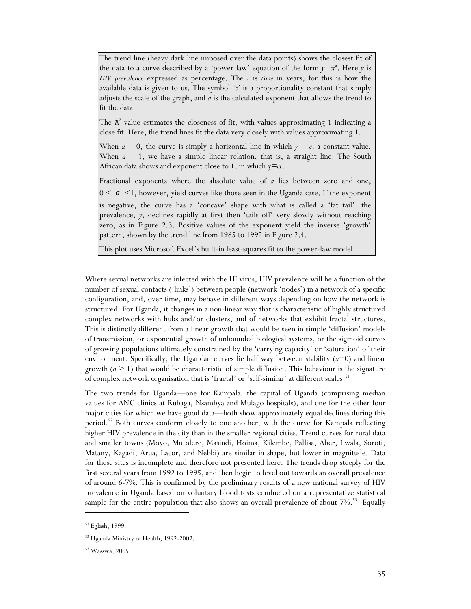The trend line (heavy dark line imposed over the data points) shows the closest fit of the data to a curve described by a 'power law' equation of the form  $y = ct^a$ . Here *y* is *HIV prevalence* expressed as percentage. The *t* is *time* in years, for this is how the available data is given to us. The symbol *'c'* is a proportionality constant that simply adjusts the scale of the graph, and *a* is the calculated exponent that allows the trend to fit the data.

The  $R^2$  value estimates the closeness of fit, with values approximating 1 indicating a close fit. Here, the trend lines fit the data very closely with values approximating 1.

When  $a = 0$ , the curve is simply a horizontal line in which  $y = c$ , a constant value. When  $a = 1$ , we have a simple linear relation, that is, a straight line. The South African data shows and exponent close to 1, in which  $y=ct$ .

Fractional exponents where the absolute value of *a* lies between zero and one,  $0 \leq |a| \leq 1$ , however, yield curves like those seen in the Uganda case. If the exponent is negative, the curve has a 'concave' shape with what is called a 'fat tail': the prevalence, *y*, declines rapidly at first then 'tails off' very slowly without reaching zero, as in Figure 2.3. Positive values of the exponent yield the inverse 'growth' pattern, shown by the trend line from 1985 to 1992 in Figure 2.4.

This plot uses Microsoft Excel's built-in least-squares fit to the power-law model.

Where sexual networks are infected with the HI virus, HIV prevalence will be a function of the number of sexual contacts ('links') between people (network 'nodes') in a network of a specific configuration, and, over time, may behave in different ways depending on how the network is structured. For Uganda, it changes in a non-linear way that is characteristic of highly structured complex networks with hubs and/or clusters, and of networks that exhibit fractal structures. This is distinctly different from a linear growth that would be seen in simple 'diffusion' models of transmission, or exponential growth of unbounded biological systems, or the sigmoid curves of growing populations ultimately constrained by the 'carrying capacity' or 'saturation' of their environment. Specifically, the Ugandan curves lie half way between stability  $(a=0)$  and linear growth  $(a \geq 1)$  that would be characteristic of simple diffusion. This behaviour is the signature of complex network organisation that is 'fractal' or 'self-similar' at different scales.<sup>51</sup>

The two trends for Uganda—one for Kampala, the capital of Uganda (comprising median values for ANC clinics at Rubaga, Nsambya and Mulago hospitals), and one for the other four major cities for which we have good data—both show approximately equal declines during this period.<sup>52</sup> Both curves conform closely to one another, with the curve for Kampala reflecting higher HIV prevalence in the city than in the smaller regional cities. Trend curves for rural data and smaller towns (Moyo, Mutolere, Masindi, Hoima, Kilembe, Pallisa, Aber, Lwala, Soroti, Matany, Kagadi, Arua, Lacor, and Nebbi) are similar in shape, but lower in magnitude. Data for these sites is incomplete and therefore not presented here. The trends drop steeply for the first several years from 1992 to 1995, and then begin to level out towards an overall prevalence of around 6-7%. This is confirmed by the preliminary results of a new national survey of HIV prevalence in Uganda based on voluntary blood tests conducted on a representative statistical sample for the entire population that also shows an overall prevalence of about 7%.<sup>53</sup> Equally

<sup>51</sup> Eglash, 1999.

<sup>52</sup> Uganda Ministry of Health, 1992-2002.

<sup>53</sup> Wasswa, 2005.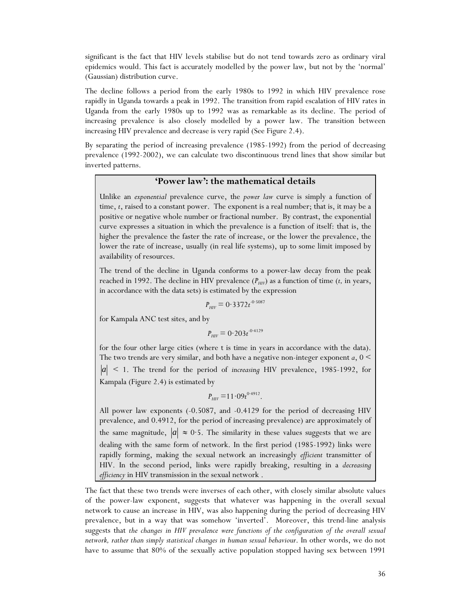significant is the fact that HIV levels stabilise but do not tend towards zero as ordinary viral epidemics would. This fact is accurately modelled by the power law, but not by the 'normal' (Gaussian) distribution curve.

The decline follows a period from the early 1980s to 1992 in which HIV prevalence rose rapidly in Uganda towards a peak in 1992. The transition from rapid escalation of HIV rates in Uganda from the early 1980s up to 1992 was as remarkable as its decline. The period of increasing prevalence is also closely modelled by a power law. The transition between increasing HIV prevalence and decrease is very rapid (See Figure 2.4).

By separating the period of increasing prevalence (1985-1992) from the period of decreasing prevalence (1992-2002), we can calculate two discontinuous trend lines that show similar but inverted patterns.

### **'Power law': the mathematical details**

Unlike an *exponential* prevalence curve, the *power law* curve is simply a function of time, *t*, raised to a constant power. The exponent is a real number; that is, it may be a positive or negative whole number or fractional number. By contrast, the exponential curve expresses a situation in which the prevalence is a function of itself: that is, the higher the prevalence the faster the rate of increase, or the lower the prevalence, the lower the rate of increase, usually (in real life systems), up to some limit imposed by availability of resources.

The trend of the decline in Uganda conforms to a power-law decay from the peak reached in 1992. The decline in HIV prevalence  $(P_{HIV})$  as a function of time  $(t, \text{ in years},$ in accordance with the data sets) is estimated by the expression

$$
P_{\text{HIV}} = 0.3372t^{-0.5087}
$$

for Kampala ANC test sites, and by

$$
P_{\text{HIV}} = 0.203 t^{0.4129}
$$

for the four other large cities (where t is time in years in accordance with the data). The two trends are very similar, and both have a negative non-integer exponent *a*, 0 < *a* < 1. The trend for the period of *increasing* HIV prevalence, 1985-1992, for Kampala (Figure 2.4) is estimated by

$$
P_{\text{HIV}} = 11.09t^{0.4912}.
$$

All power law exponents (-0.5087, and -0.4129 for the period of decreasing HIV prevalence, and 0.4912, for the period of increasing prevalence) are approximately of the same magnitude,  $|a| \approx 0.5$ . The similarity in these values suggests that we are dealing with the same form of network. In the first period (1985-1992) links were rapidly forming, making the sexual network an increasingly *efficient* transmitter of HIV. In the second period, links were rapidly breaking, resulting in a *decreasing efficiency* in HIV transmission in the sexual network .

The fact that these two trends were inverses of each other, with closely similar absolute values of the power-law exponent, suggests that whatever was happening in the overall sexual network to cause an increase in HIV, was also happening during the period of decreasing HIV prevalence, but in a way that was somehow 'inverted'. Moreover, this trend-line analysis suggests that *the changes in HIV prevalence were functions of the configuration of the overall sexual network, rather than simply statistical changes in human sexual behaviour*. In other words, we do not have to assume that 80% of the sexually active population stopped having sex between 1991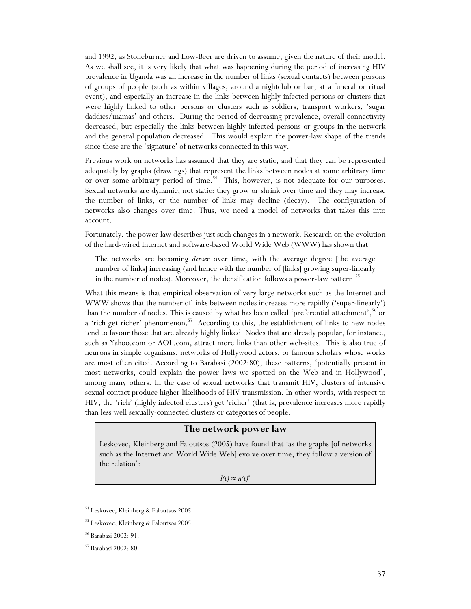and 1992, as Stoneburner and Low-Beer are driven to assume, given the nature of their model. As we shall see, it is very likely that what was happening during the period of increasing HIV prevalence in Uganda was an increase in the number of links (sexual contacts) between persons of groups of people (such as within villages, around a nightclub or bar, at a funeral or ritual event), and especially an increase in the links between highly infected persons or clusters that were highly linked to other persons or clusters such as soldiers, transport workers, 'sugar daddies/mamas' and others. During the period of decreasing prevalence, overall connectivity decreased, but especially the links between highly infected persons or groups in the network and the general population decreased. This would explain the power-law shape of the trends since these are the 'signature' of networks connected in this way.

Previous work on networks has assumed that they are static, and that they can be represented adequately by graphs (drawings) that represent the links between nodes at some arbitrary time or over some arbitrary period of time.<sup>54</sup> This, however, is not adequate for our purposes. Sexual networks are dynamic, not static: they grow or shrink over time and they may increase the number of links, or the number of links may decline (decay). The configuration of networks also changes over time. Thus, we need a model of networks that takes this into account.

Fortunately, the power law describes just such changes in a network. Research on the evolution of the hard-wired Internet and software-based World Wide Web (WWW) has shown that

The networks are becoming *denser* over time, with the average degree [the average number of links] increasing (and hence with the number of [links] growing super-linearly in the number of nodes). Moreover, the densification follows a power-law pattern.<sup>55</sup>

What this means is that empirical observation of very large networks such as the Internet and WWW shows that the number of links between nodes increases more rapidly ('super-linearly') than the number of nodes. This is caused by what has been called 'preferential attachment',<sup>56</sup> or a 'rich get richer' phenomenon.<sup>57</sup> According to this, the establishment of links to new nodes tend to favour those that are already highly linked. Nodes that are already popular, for instance, such as Yahoo.com or AOL.com, attract more links than other web-sites. This is also true of neurons in simple organisms, networks of Hollywood actors, or famous scholars whose works are most often cited. According to Barabasi (2002:80), these patterns, 'potentially present in most networks, could explain the power laws we spotted on the Web and in Hollywood', among many others. In the case of sexual networks that transmit HIV, clusters of intensive sexual contact produce higher likelihoods of HIV transmission. In other words, with respect to HIV, the 'rich' (highly infected clusters) get 'richer' (that is, prevalence increases more rapidly than less well sexually-connected clusters or categories of people.

#### **The network power law**

Leskovec, Kleinberg and Faloutsos (2005) have found that 'as the graphs [of networks such as the Internet and World Wide Web] evolve over time, they follow a version of the relation':

 $l(t) \approx n(t)^a$ 

<sup>54</sup> Leskovec, Kleinberg & Faloutsos 2005.

<sup>55</sup> Leskovec, Kleinberg & Faloutsos 2005.

<sup>56</sup> Barabasi 2002: 91.

<sup>57</sup> Barabasi 2002: 80.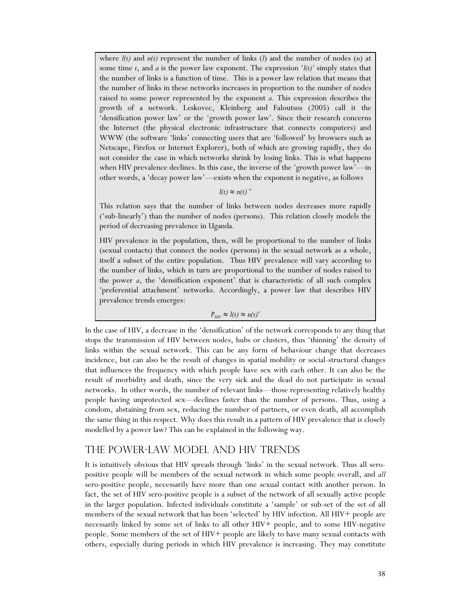where  $l(t)$  and  $n(t)$  represent the number of links  $(l)$  and the number of nodes  $(n)$  at some time  $t$ , and  $a$  is the power law exponent. The expression  $\mathcal{L}(t)$  simply states that the number of links is a function of time. This is a power law relation that means that the number of links in these networks increases in proportion to the number of nodes raised to some power represented by the exponent *a.* This expression describes the growth of a network. Leskovec, Kleinberg and Faloutsos (2005) call it the 'densification power law' or the 'growth power law'. Since their research concerns the Internet (the physical electronic infrastructure that connects computers) and WWW (the software 'links' connecting users that are 'followed' by browsers such as Netscape, Firefox or Internet Explorer), both of which are growing rapidly, they do not consider the case in which networks shrink by losing links. This is what happens when HIV prevalence declines. In this case, the inverse of the 'growth power law'—in other words, a 'decay power law'—exists when the exponent is negative, as follows

 $l(t) \approx n(t)^{-a}$ 

This relation says that the number of links between nodes decreases more rapidly ('sub-linearly') than the number of nodes (persons). This relation closely models the period of decreasing prevalence in Uganda.

HIV prevalence in the population, then, will be proportional to the number of links (sexual contacts) that connect the nodes (persons) in the sexual network as a whole, itself a subset of the entire population. Thus HIV prevalence will vary according to the number of links, which in turn are proportional to the number of nodes raised to the power *a*, the 'densification exponent' that is characteristic of all such complex 'preferential attachment' networks. Accordingly, a power law that describes HIV prevalence trends emerges:

#### $P_{HIV} \approx l(t) \approx n(t)^a$

In the case of HIV, a decrease in the 'densification' of the network corresponds to any thing that stops the transmission of HIV between nodes, hubs or clusters, thus 'thinning' the density of links within the sexual network. This can be any form of behaviour change that decreases incidence, but can also be the result of changes in spatial mobility or social-structural changes that influences the frequency with which people have sex with each other. It can also be the result of morbidity and death, since the very sick and the dead do not participate in sexual networks. In other words, the number of relevant links—those representing relatively healthy people having unprotected sex—declines faster than the number of persons. Thus, using a condom, abstaining from sex, reducing the number of partners, or even death, all accomplish the same thing in this respect. Why does this result in a pattern of HIV prevalence that is closely modelled by a power law? This can be explained in the following way.

# The power-law model and HIV trends

It is intuitively obvious that HIV spreads through 'links' in the sexual network. Thus all seropositive people will be members of the sexual network in which some people overall, and *all* sero-positive people, necessarily have more than one sexual contact with another person. In fact, the set of HIV sero-positive people is a subset of the network of all sexually active people in the larger population. Infected individuals constitute a 'sample' or sub-set of the set of all members of the sexual network that has been 'selected' by HIV infection. All HIV+ people are necessarily linked by some set of links to all other HIV+ people, and to some HIV-negative people. Some members of the set of HIV+ people are likely to have many sexual contacts with others, especially during periods in which HIV prevalence is increasing. They may constitute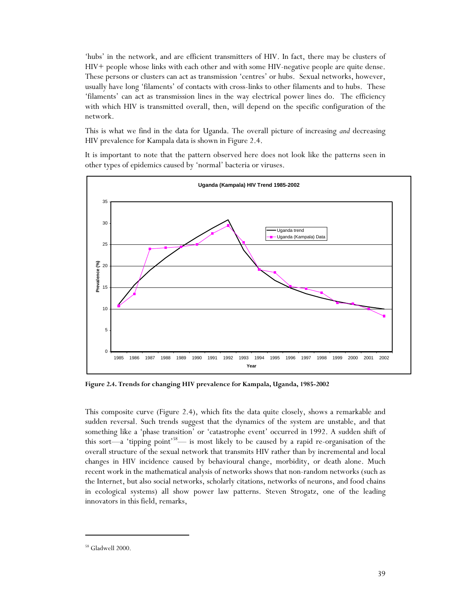'hubs' in the network, and are efficient transmitters of HIV. In fact, there may be clusters of HIV+ people whose links with each other and with some HIV-negative people are quite dense. These persons or clusters can act as transmission 'centres' or hubs. Sexual networks, however, usually have long 'filaments' of contacts with cross-links to other filaments and to hubs. These 'filaments' can act as transmission lines in the way electrical power lines do. The efficiency with which HIV is transmitted overall, then, will depend on the specific configuration of the network.

This is what we find in the data for Uganda. The overall picture of increasing *and* decreasing HIV prevalence for Kampala data is shown in Figure 2.4.

It is important to note that the pattern observed here does not look like the patterns seen in other types of epidemics caused by 'normal' bacteria or viruses.



**Figure 2.4. Trends for changing HIV prevalence for Kampala, Uganda, 1985-2002** 

This composite curve (Figure 2.4), which fits the data quite closely, shows a remarkable and sudden reversal. Such trends suggest that the dynamics of the system are unstable, and that something like a 'phase transition' or 'catastrophe event' occurred in 1992. A sudden shift of this sort—a 'tipping point'<sup>58</sup>— is most likely to be caused by a rapid re-organisation of the overall structure of the sexual network that transmits HIV rather than by incremental and local changes in HIV incidence caused by behavioural change, morbidity, or death alone. Much recent work in the mathematical analysis of networks shows that non-random networks (such as the Internet, but also social networks, scholarly citations, networks of neurons, and food chains in ecological systems) all show power law patterns. Steven Strogatz, one of the leading innovators in this field, remarks,

<sup>58</sup> Gladwell 2000.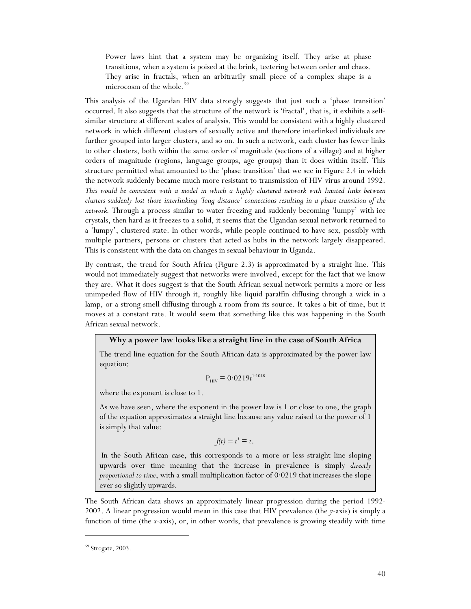Power laws hint that a system may be organizing itself. They arise at phase transitions, when a system is poised at the brink, teetering between order and chaos. They arise in fractals, when an arbitrarily small piece of a complex shape is a microcosm of the whole.<sup>59</sup>

This analysis of the Ugandan HIV data strongly suggests that just such a 'phase transition' occurred. It also suggests that the structure of the network is 'fractal', that is, it exhibits a selfsimilar structure at different scales of analysis. This would be consistent with a highly clustered network in which different clusters of sexually active and therefore interlinked individuals are further grouped into larger clusters, and so on. In such a network, each cluster has fewer links to other clusters, both within the same order of magnitude (sections of a village) and at higher orders of magnitude (regions, language groups, age groups) than it does within itself. This structure permitted what amounted to the 'phase transition' that we see in Figure 2.4 in which the network suddenly became much more resistant to transmission of HIV virus around 1992. *This would be consistent with a model in which a highly clustered network with limited links between clusters suddenly lost those interlinking 'long distance' connections resulting in a phase transition of the network.* Through a process similar to water freezing and suddenly becoming 'lumpy' with ice crystals, then hard as it freezes to a solid, it seems that the Ugandan sexual network returned to a 'lumpy', clustered state. In other words, while people continued to have sex, possibly with multiple partners, persons or clusters that acted as hubs in the network largely disappeared. This is consistent with the data on changes in sexual behaviour in Uganda.

By contrast, the trend for South Africa (Figure 2.3) is approximated by a straight line. This would not immediately suggest that networks were involved, except for the fact that we know they are. What it does suggest is that the South African sexual network permits a more or less unimpeded flow of HIV through it, roughly like liquid paraffin diffusing through a wick in a lamp, or a strong smell diffusing through a room from its source. It takes a bit of time, but it moves at a constant rate. It would seem that something like this was happening in the South African sexual network.

#### **Why a power law looks like a straight line in the case of South Africa**

The trend line equation for the South African data is approximated by the power law equation:

$$
P_{\text{HIV}} = 0.0219t^{1.1048}
$$

where the exponent is close to 1.

As we have seen, where the exponent in the power law is 1 or close to one, the graph of the equation approximates a straight line because any value raised to the power of 1 is simply that value:

$$
f(t)=t^{\prime}=t.
$$

 In the South African case, this corresponds to a more or less straight line sloping upwards over time meaning that the increase in prevalence is simply *directly proportional to time*, with a small multiplication factor of 0·0219 that increases the slope ever so slightly upwards.

The South African data shows an approximately linear progression during the period 1992- 2002. A linear progression would mean in this case that HIV prevalence (the *y*-axis) is simply a function of time (the *x*-axis), or, in other words, that prevalence is growing steadily with time

<sup>59</sup> Strogatz, 2003.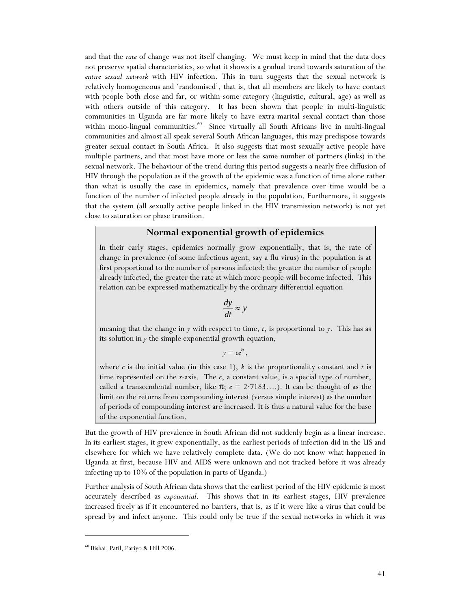and that the *rate* of change was not itself changing. We must keep in mind that the data does not preserve spatial characteristics, so what it shows is a gradual trend towards saturation of the *entire sexual network* with HIV infection. This in turn suggests that the sexual network is relatively homogeneous and 'randomised', that is, that all members are likely to have contact with people both close and far, or within some category (linguistic, cultural, age) as well as with others outside of this category. It has been shown that people in multi-linguistic communities in Uganda are far more likely to have extra-marital sexual contact than those within mono-lingual communities.<sup>60</sup> Since virtually all South Africans live in multi-lingual communities and almost all speak several South African languages, this may predispose towards greater sexual contact in South Africa. It also suggests that most sexually active people have multiple partners, and that most have more or less the same number of partners (links) in the sexual network. The behaviour of the trend during this period suggests a nearly free diffusion of HIV through the population as if the growth of the epidemic was a function of time alone rather than what is usually the case in epidemics, namely that prevalence over time would be a function of the number of infected people already in the population. Furthermore, it suggests that the system (all sexually active people linked in the HIV transmission network) is not yet close to saturation or phase transition.

## **Normal exponential growth of epidemics**

In their early stages, epidemics normally grow exponentially, that is, the rate of change in prevalence (of some infectious agent, say a flu virus) in the population is at first proportional to the number of persons infected: the greater the number of people already infected, the greater the rate at which more people will become infected. This relation can be expressed mathematically by the ordinary differential equation

$$
\frac{dy}{dt} \approx y
$$

meaning that the change in *y* with respect to time, *t*, is proportional to *y*. This has as its solution in *y* the simple exponential growth equation,

 $y = ce^{kt}$ ,

where  $c$  is the initial value (in this case 1),  $k$  is the proportionality constant and  $t$  is time represented on the *x*-axis. The *e*, a constant value, is a special type of number, called a transcendental number, like  $\pi$ ;  $e = 2.7183...$ ). It can be thought of as the limit on the returns from compounding interest (versus simple interest) as the number of periods of compounding interest are increased. It is thus a natural value for the base of the exponential function.

But the growth of HIV prevalence in South African did not suddenly begin as a linear increase. In its earliest stages, it grew exponentially, as the earliest periods of infection did in the US and elsewhere for which we have relatively complete data. (We do not know what happened in Uganda at first, because HIV and AIDS were unknown and not tracked before it was already infecting up to 10% of the population in parts of Uganda.)

Further analysis of South African data shows that the earliest period of the HIV epidemic is most accurately described as *exponential*. This shows that in its earliest stages, HIV prevalence increased freely as if it encountered no barriers, that is, as if it were like a virus that could be spread by and infect anyone. This could only be true if the sexual networks in which it was

<sup>60</sup> Bishai, Patil, Pariyo & Hill 2006.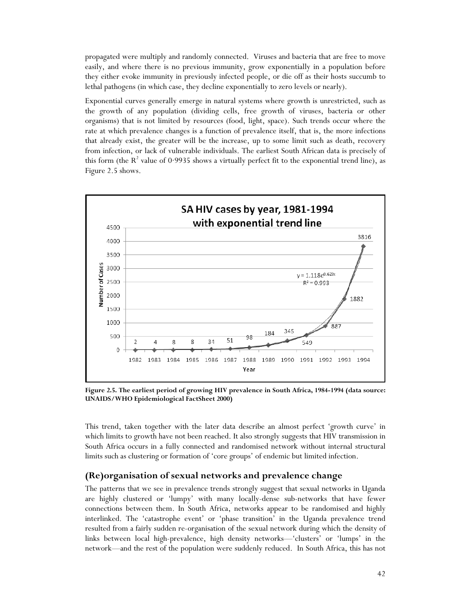propagated were multiply and randomly connected. Viruses and bacteria that are free to move easily, and where there is no previous immunity, grow exponentially in a population before they either evoke immunity in previously infected people, or die off as their hosts succumb to lethal pathogens (in which case, they decline exponentially to zero levels or nearly).

Exponential curves generally emerge in natural systems where growth is unrestricted, such as the growth of any population (dividing cells, free growth of viruses, bacteria or other organisms) that is not limited by resources (food, light, space). Such trends occur where the rate at which prevalence changes is a function of prevalence itself, that is, the more infections that already exist, the greater will be the increase, up to some limit such as death, recovery from infection, or lack of vulnerable individuals. The earliest South African data is precisely of this form (the  $R^2$  value of 0·9935 shows a virtually perfect fit to the exponential trend line), as Figure 2.5 shows.



**Figure 2.5. The earliest period of growing HIV prevalence in South Africa, 1984-1994 (data source: UNAIDS/WHO Epidemiological FactSheet 2000)** 

This trend, taken together with the later data describe an almost perfect 'growth curve' in which limits to growth have not been reached. It also strongly suggests that HIV transmission in South Africa occurs in a fully connected and randomised network without internal structural limits such as clustering or formation of 'core groups' of endemic but limited infection.

#### **(Re)organisation of sexual networks and prevalence change**

The patterns that we see in prevalence trends strongly suggest that sexual networks in Uganda are highly clustered or 'lumpy' with many locally-dense sub-networks that have fewer connections between them. In South Africa, networks appear to be randomised and highly interlinked. The 'catastrophe event' or 'phase transition' in the Uganda prevalence trend resulted from a fairly sudden re-organisation of the sexual network during which the density of links between local high-prevalence, high density networks—'clusters' or 'lumps' in the network—and the rest of the population were suddenly reduced. In South Africa, this has not